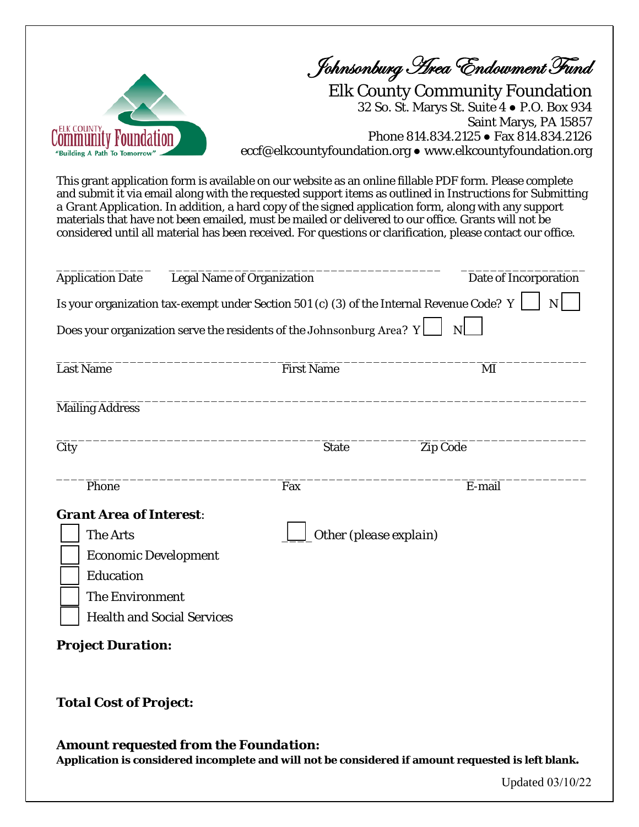

Johnsonburg Area Endowment Fund

Elk County Community Foundation 32 So. St. Marys St. Suite 4 ● P.O. Box 934 Saint Marys, PA 15857 Phone 814.834.2125 ● Fax 814.834.2126 eccf@elkcountyfoundation.org ● www.elkcountyfoundation.org

This grant application form is available on our website as an online fillable PDF form. Please complete and submit it via email along with the requested support items as outlined in *Instructions for Submitting a Grant Application*. In addition, a hard copy of the signed application form, along with any support materials that have not been emailed, must be mailed or delivered to our office. Grants will not be considered until all material has been received. For questions or clarification, please contact our office.

| <b>Application Date</b>                                                                                                                                                                  | <b>Legal Name of Organization</b><br>Is your organization tax-exempt under Section 501 (c) (3) of the Internal Revenue Code? Y | Date of Incorporation<br>$\mathbf N$ |
|------------------------------------------------------------------------------------------------------------------------------------------------------------------------------------------|--------------------------------------------------------------------------------------------------------------------------------|--------------------------------------|
|                                                                                                                                                                                          | Does your organization serve the residents of the Johnsonburg Area? $Y$                                                        | $\overline{N}$                       |
| <b>Last Name</b>                                                                                                                                                                         | <b>First Name</b>                                                                                                              | MI                                   |
| <b>Mailing Address</b>                                                                                                                                                                   |                                                                                                                                |                                      |
| City                                                                                                                                                                                     | <b>State</b>                                                                                                                   | Zip Code                             |
| Phone                                                                                                                                                                                    | Fax                                                                                                                            | E-mail                               |
| <b>Grant Area of Interest:</b><br><b>The Arts</b><br><b>Economic Development</b><br><b>Education</b><br>The Environment<br><b>Health and Social Services</b><br><b>Project Duration:</b> | Other (please explain)                                                                                                         |                                      |
| <b>Total Cost of Project:</b>                                                                                                                                                            |                                                                                                                                |                                      |

# *Amount requested from the Foundation:*

**Application is considered incomplete and will not be considered if amount requested is left blank.**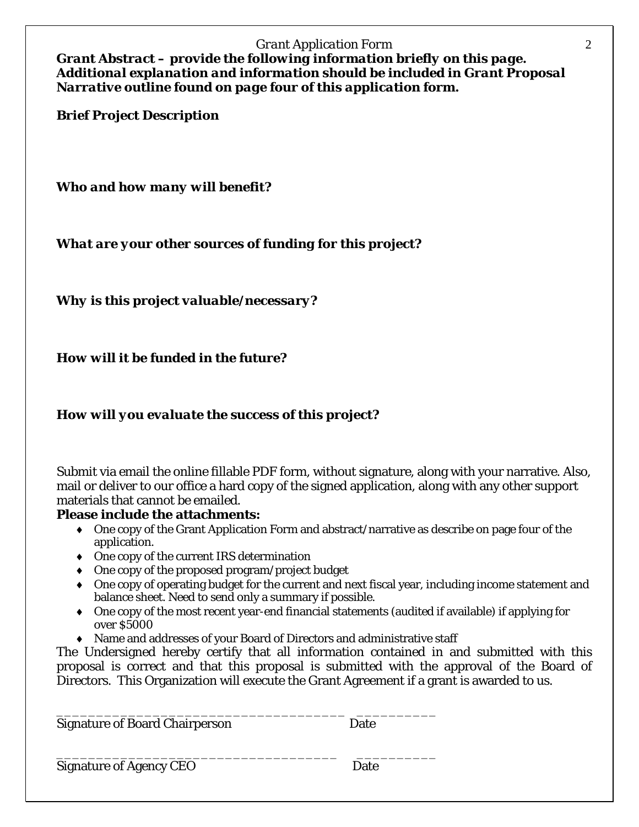#### *Grant Application Form* 2

*Grant Abstract – provide the following information briefly on this page. Additional explanation and information should be included in Grant Proposal Narrative outline found on page four of this application form.*

*Brief Project Description*

*Who and how many will benefit?*

*What are your other sources of funding for this project?*

*Why is this project valuable/necessary?*

*How will it be funded in the future?*

# *How will you evaluate the success of this project?*

Submit via email the online fillable PDF form, without signature, along with your narrative. Also, mail or deliver to our office a hard copy of the signed application, along with any other support materials that cannot be emailed.

# **Please include the attachments:**

- ♦ One copy of the Grant Application Form and abstract/narrative as describe on page four of the application.
- ♦ One copy of the current IRS determination
- ♦ One copy of the proposed program/project budget
- ♦ One copy of operating budget for the current and next fiscal year, including income statement and balance sheet. Need to send only a summary if possible.
- ♦ One copy of the most recent year-end financial statements (audited if available) if applying for over \$5000
- ♦ Name and addresses of your Board of Directors and administrative staff

The Undersigned hereby certify that all information contained in and submitted with this proposal is correct and that this proposal is submitted with the approval of the Board of Directors. This Organization will execute the Grant Agreement if a grant is awarded to us.

\_\_\_\_\_\_\_\_\_\_\_\_\_\_\_\_\_\_\_\_\_\_\_\_\_\_\_\_\_\_\_\_\_\_\_\_ \_\_\_\_\_\_\_\_\_\_ Signature of Board Chairperson Date

\_\_\_\_\_\_\_\_\_\_\_\_\_\_\_\_\_\_\_\_\_\_\_\_\_\_\_\_\_\_\_\_\_\_\_ \_\_\_\_\_\_\_\_\_\_ Signature of Agency CEO Date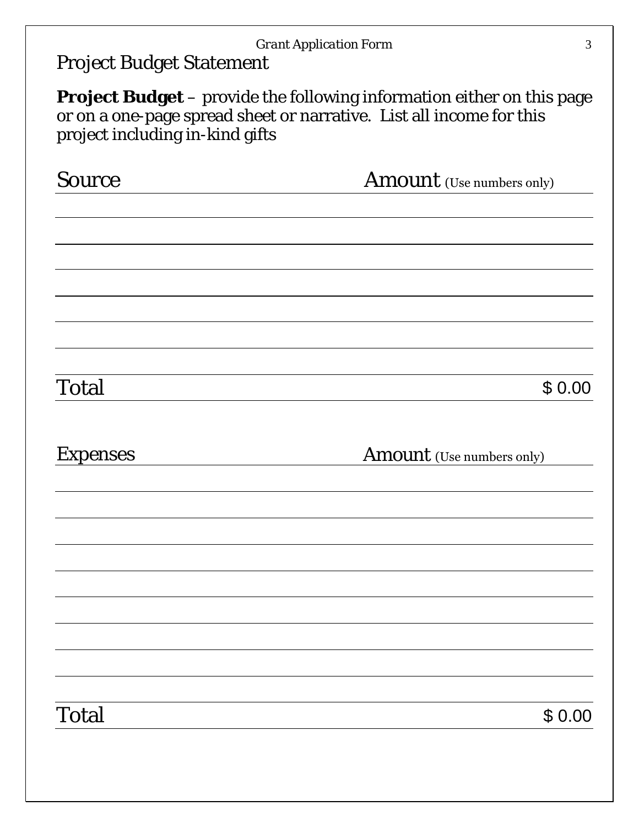| <b>Source</b>   | <b>Amount</b> (Use numbers only) |
|-----------------|----------------------------------|
|                 |                                  |
|                 |                                  |
|                 |                                  |
| Total           | \$0.00                           |
|                 |                                  |
|                 | <b>Amount</b> (Use numbers only) |
|                 |                                  |
| <b>Expenses</b> |                                  |